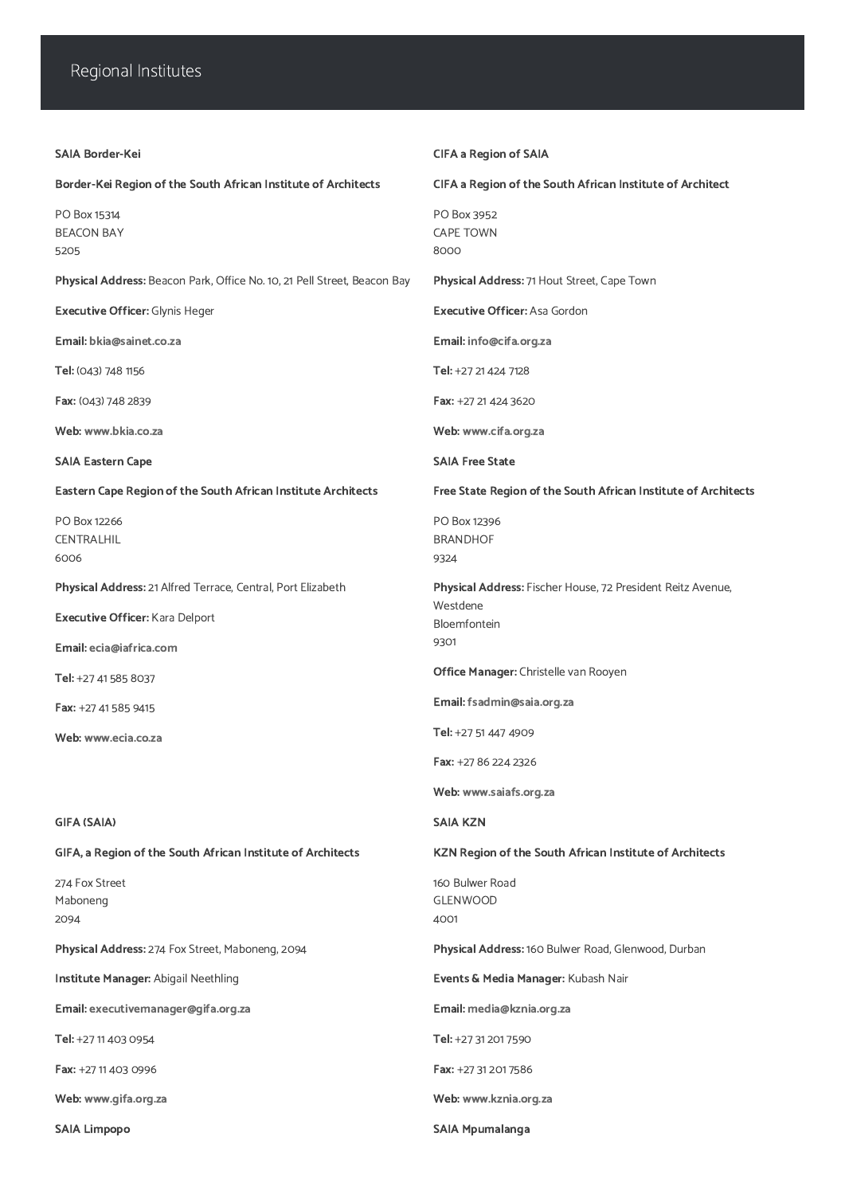## Regional Institutes

| <b>SAIA Border-Kei</b>                                                   | <b>CIFA a Region of SAIA</b>                                            |
|--------------------------------------------------------------------------|-------------------------------------------------------------------------|
| Border-Kei Region of the South African Institute of Architects           | CIFA a Region of the South African Institute of Architect               |
| PO Box 15314<br><b>BEACON BAY</b><br>5205                                | PO Box 3952<br><b>CAPE TOWN</b><br>8000                                 |
| Physical Address: Beacon Park, Office No. 10, 21 Pell Street, Beacon Bay | Physical Address: 71 Hout Street, Cape Town                             |
| <b>Executive Officer: Glynis Heger</b>                                   | <b>Executive Officer: Asa Gordon</b>                                    |
| Email: bkia@sainet.co.za                                                 | Email: info@cifa.org.za                                                 |
| Tel: (043) 748 1156                                                      | Tel: +27 21 424 7128                                                    |
| Fax: (043) 748 2839                                                      | Fax: +27 21 424 3620                                                    |
| Web: www.bkia.co.za                                                      | Web: www.cifa.org.za                                                    |
| <b>SAIA Eastern Cape</b>                                                 | <b>SAIA Free State</b>                                                  |
| <b>Eastern Cape Region of the South African Institute Architects</b>     | Free State Region of the South African Institute of Architects          |
| PO Box 12266<br><b>CENTRALHIL</b><br>6006                                | PO Box 12396<br><b>BRANDHOF</b><br>9324                                 |
| Physical Address: 21 Alfred Terrace, Central, Port Elizabeth             | Physical Address: Fischer House, 72 President Reitz Avenue,<br>Westdene |
| <b>Executive Officer: Kara Delport</b>                                   | Bloemfontein                                                            |
| Email: ecia@iafrica.com                                                  | 9301                                                                    |
| Tel: +27 41 585 8037                                                     | <b>Office Manager:</b> Christelle van Rooyen                            |
| Fax: +27 41 585 9415                                                     | Email: fsadmin@saia.org.za                                              |
| Web: www.ecia.co.za                                                      | Tel: +27 51 447 4909                                                    |
|                                                                          | Fax: +27 86 224 2326                                                    |
|                                                                          | Web: www.saiafs.org.za                                                  |
| <b>GIFA (SAIA)</b>                                                       | <b>SAIA KZN</b>                                                         |
| GIFA, a Region of the South African Institute of Architects              | <b>KZN Region of the South African Institute of Architects</b>          |
| 274 Fox Street                                                           | 160 Bulwer Road                                                         |

Maboneng 2094

Physical Address: 274 Fox Street, Maboneng, 2094

Institute Manager: Abigail Neethling

Email: [executivemanager@gifa.org.za](mailto:executivemanager@gifa.org.za)

Tel: +27 11 403 0954

Fax: +27 11 403 0996

Web: [www.gifa.org.za](https://saia.org.za/www.gifa.org.za)

GLENWOOD

4001

Physical Address: 160 Bulwer Road, Glenwood, Durban

Events & Media Manager: Kubash Nair

Email: [media@kznia.org.za](mailto:media@kznia.org.za)

Tel: +27 31 201 7590

Fax: +27 31 201 7586

Web: [www.kznia.org.za](https://saia.org.za/www.kznia.org.za)

SAIA Limpopo SAIA Mpumalanga